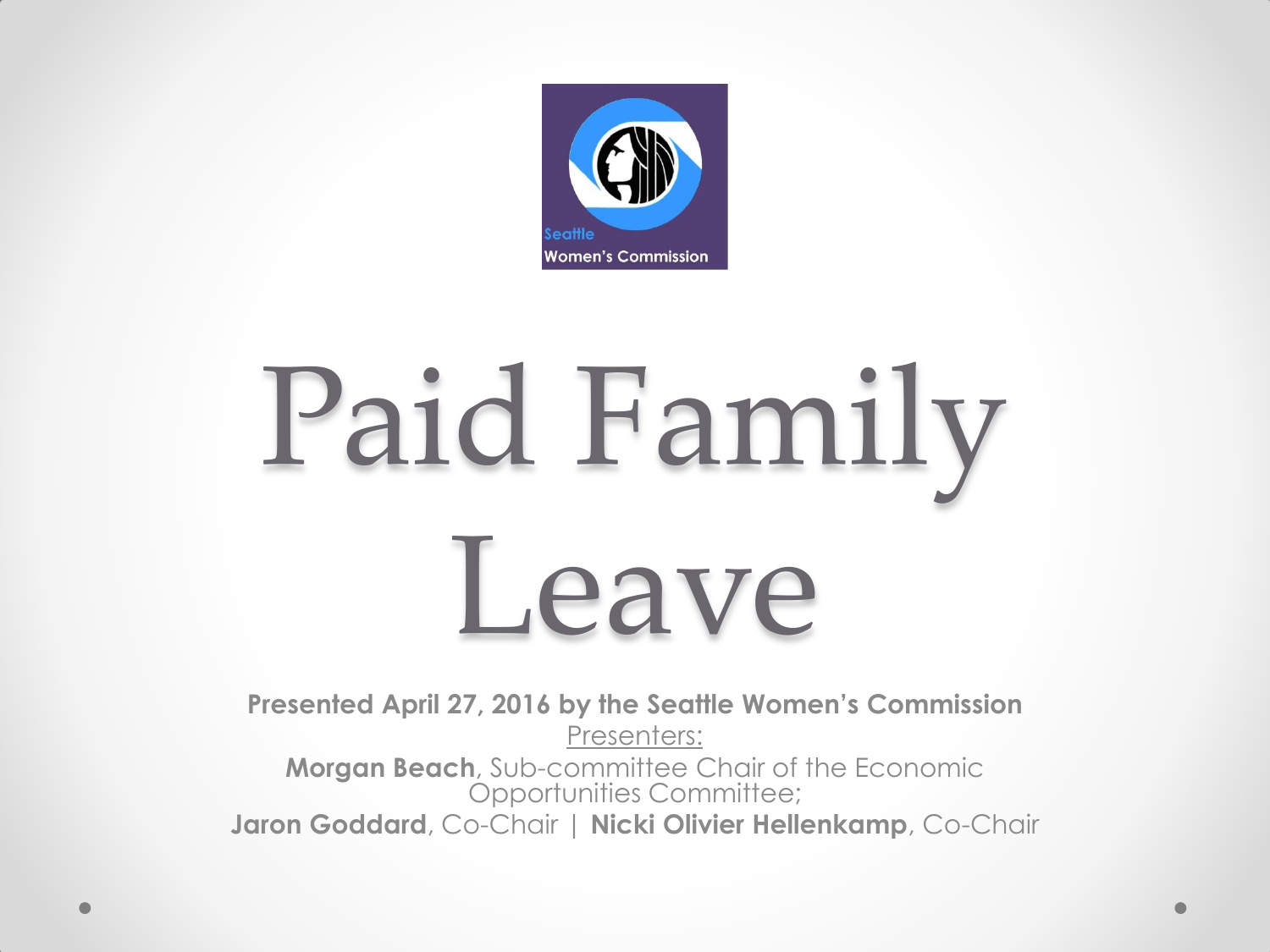

# Paid Family Leave

**Presented April 27, 2016 by the Seattle Women's Commission** Presenters: **Morgan Beach**, Sub-committee Chair of the Economic Opportunities Committee; **Jaron Goddard**, Co-Chair | **Nicki Olivier Hellenkamp**, Co-Chair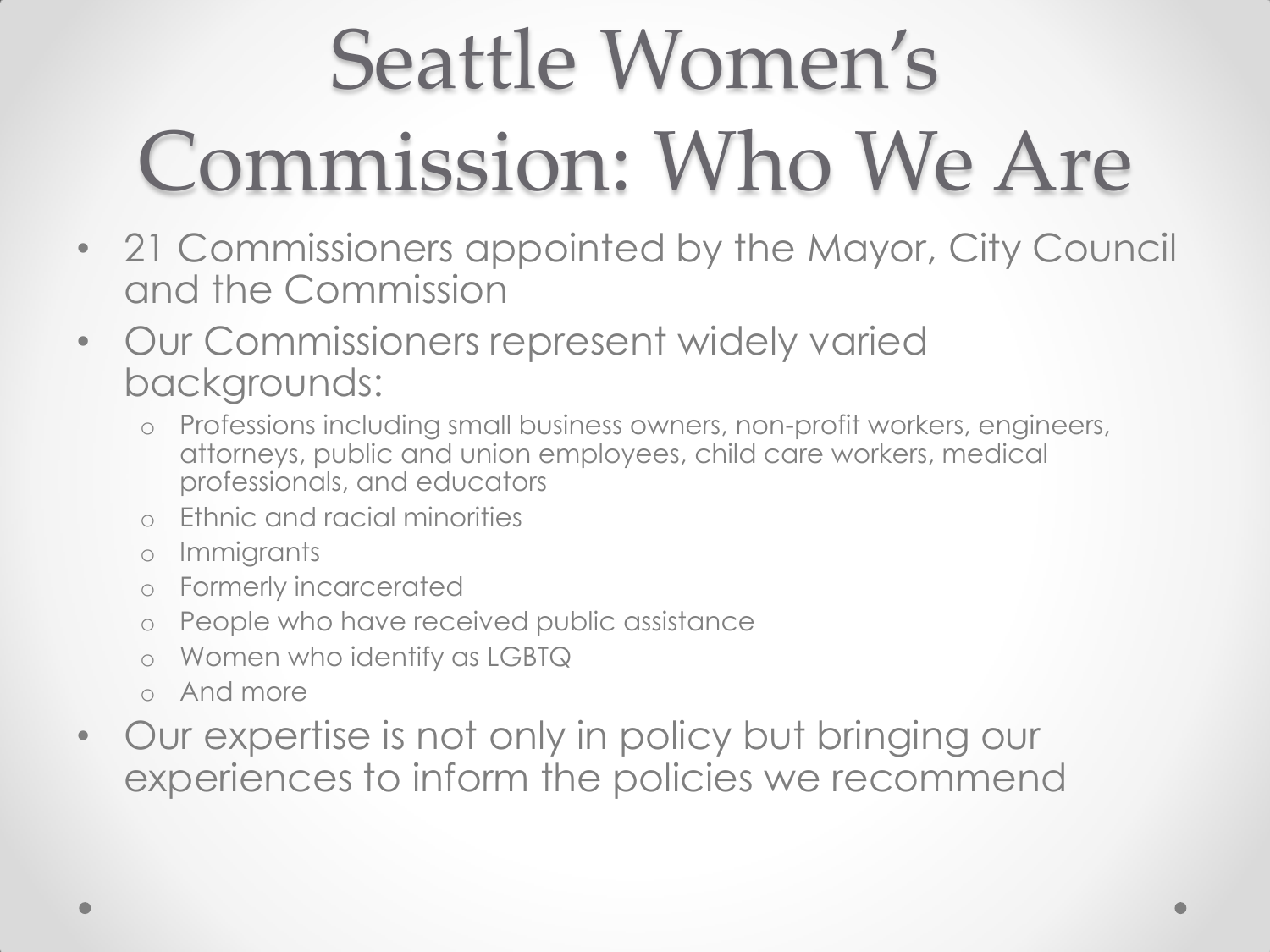#### Seattle Women's Commission: Who We Are

- 21 Commissioners appointed by the Mayor, City Council and the Commission
- Our Commissioners represent widely varied backgrounds:
	- o Professions including small business owners, non-profit workers, engineers, attorneys, public and union employees, child care workers, medical professionals, and educators
	- o Ethnic and racial minorities
	- o Immigrants
	- o Formerly incarcerated
	- o People who have received public assistance
	- Women who identify as LGBTQ
	- o And more
- Our expertise is not only in policy but bringing our experiences to inform the policies we recommend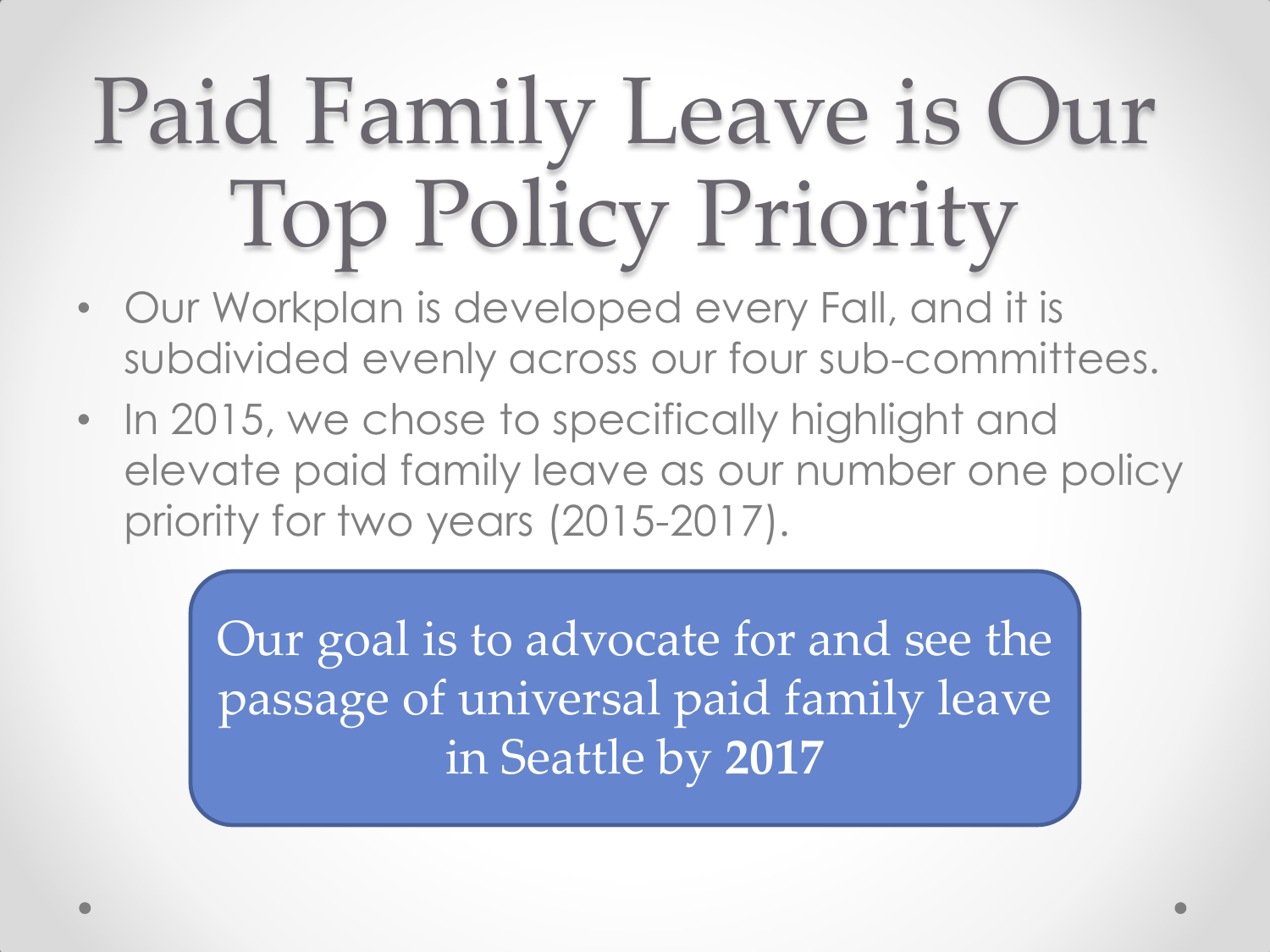# Paid Family Leave is Our Top Policy Priority

- Our Workplan is developed every Fall, and it is subdivided evenly across our four sub-committees.
- In 2015, we chose to specifically highlight and elevate paid family leave as our number one policy priority for two years (2015-2017).

Our goal is to advocate for and see the passage of universal paid family leave in Seattle by **2017**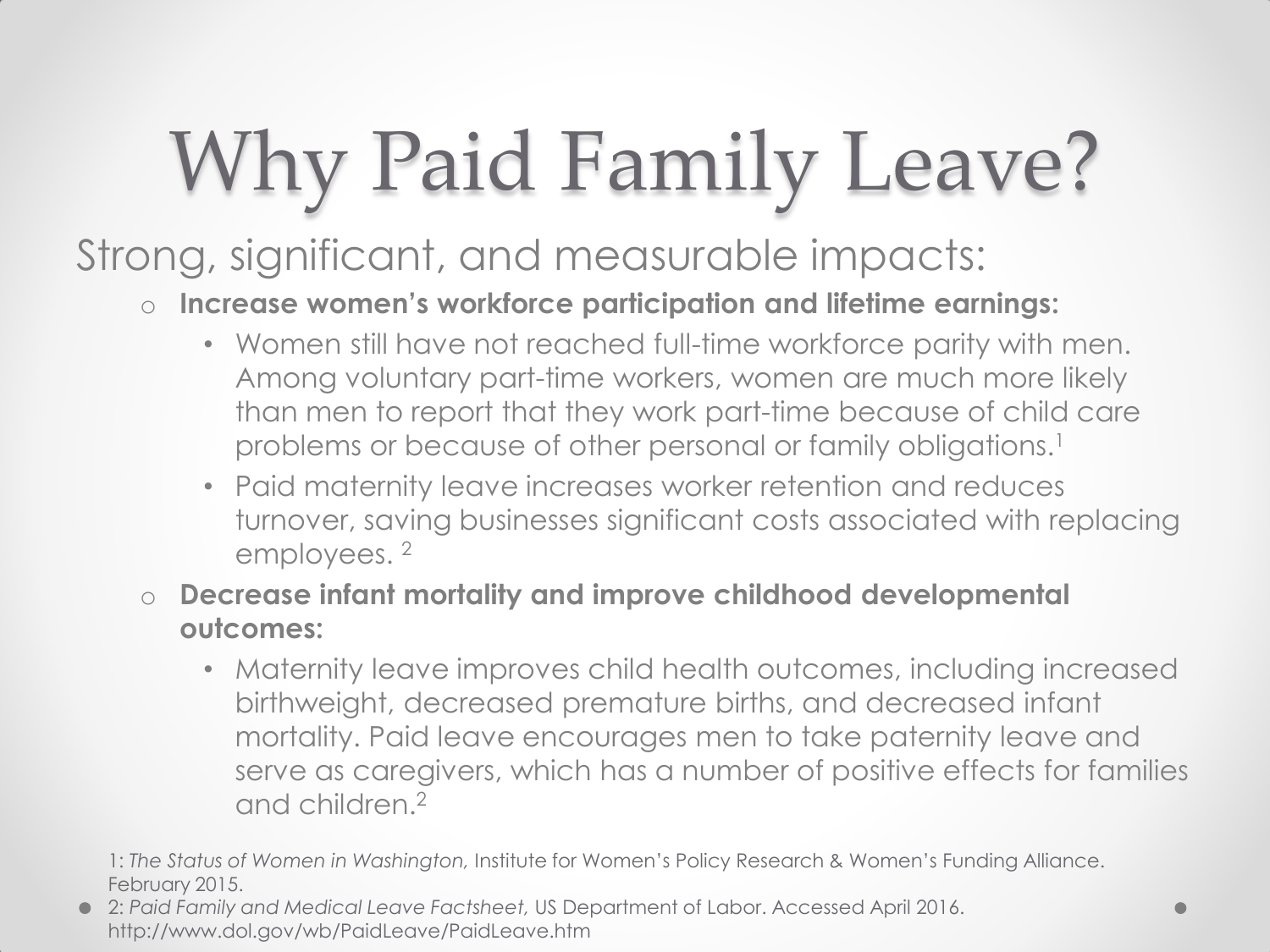## Why Paid Family Leave?

#### Strong, significant, and measurable impacts:

#### o **Increase women's workforce participation and lifetime earnings:**

- Women still have not reached full-time workforce parity with men. Among voluntary part-time workers, women are much more likely than men to report that they work part-time because of child care problems or because of other personal or family obligations.<sup>1</sup>
- Paid maternity leave increases worker retention and reduces turnover, saving businesses significant costs associated with replacing employees. <sup>2</sup>
- o **Decrease infant mortality and improve childhood developmental outcomes:**
	- Maternity leave improves child health outcomes, including increased birthweight, decreased premature births, and decreased infant mortality. Paid leave encourages men to take paternity leave and serve as caregivers, which has a number of positive effects for families and children.<sup>2</sup>

1: *The Status of Women in Washington,* Institute for Women's Policy Research & Women's Funding Alliance. February 2015.

2: *Paid Family and Medical Leave Factsheet,* US Department of Labor. Accessed April 2016. http://www.dol.gov/wb/PaidLeave/PaidLeave.htm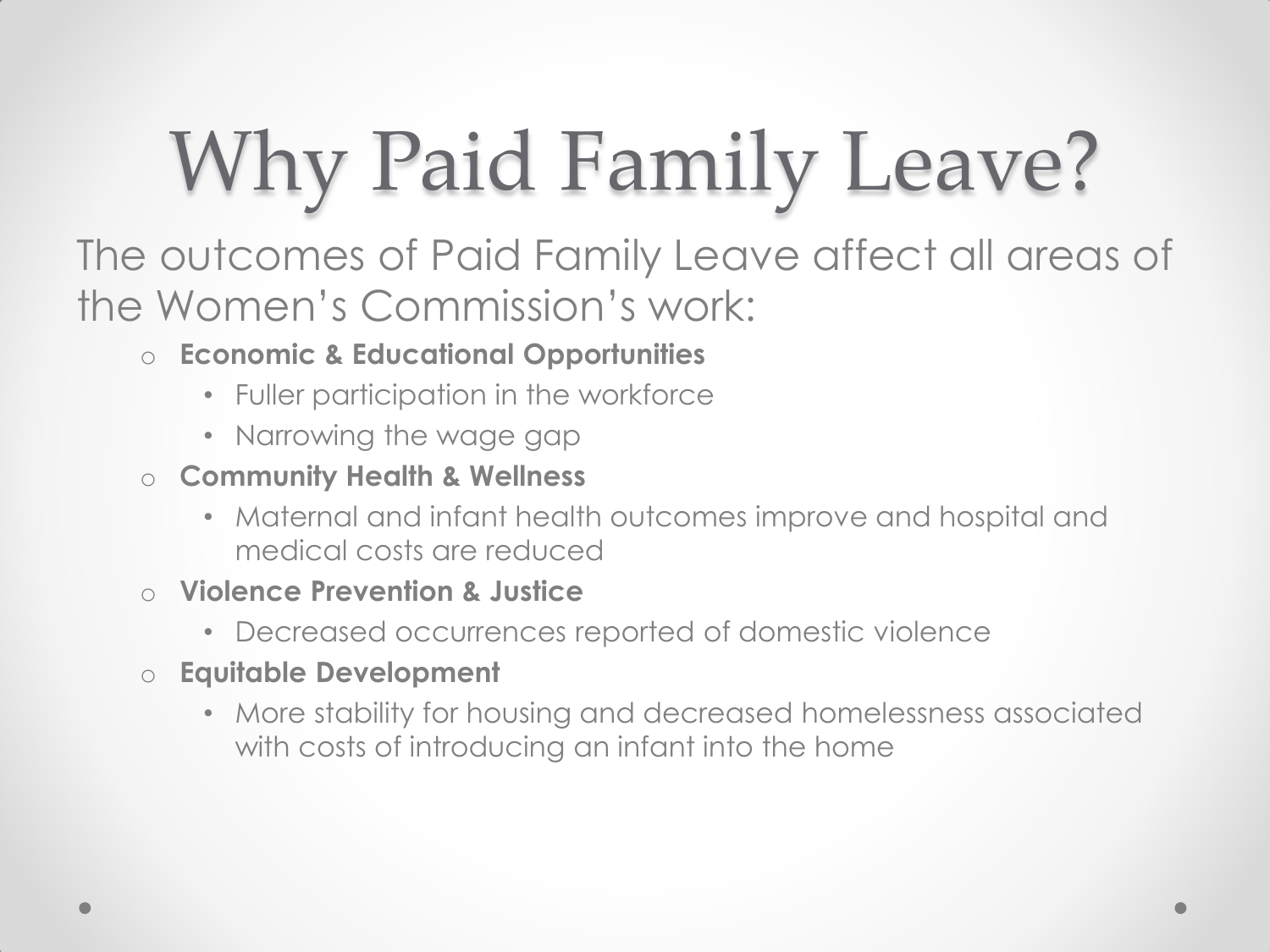### Why Paid Family Leave?

The outcomes of Paid Family Leave affect all areas of the Women's Commission's work:

- o **Economic & Educational Opportunities**
	- Fuller participation in the workforce
	- Narrowing the wage gap
- o **Community Health & Wellness**
	- Maternal and infant health outcomes improve and hospital and medical costs are reduced
- o **Violence Prevention & Justice**
	- Decreased occurrences reported of domestic violence
- o **Equitable Development**
	- More stability for housing and decreased homelessness associated with costs of introducing an infant into the home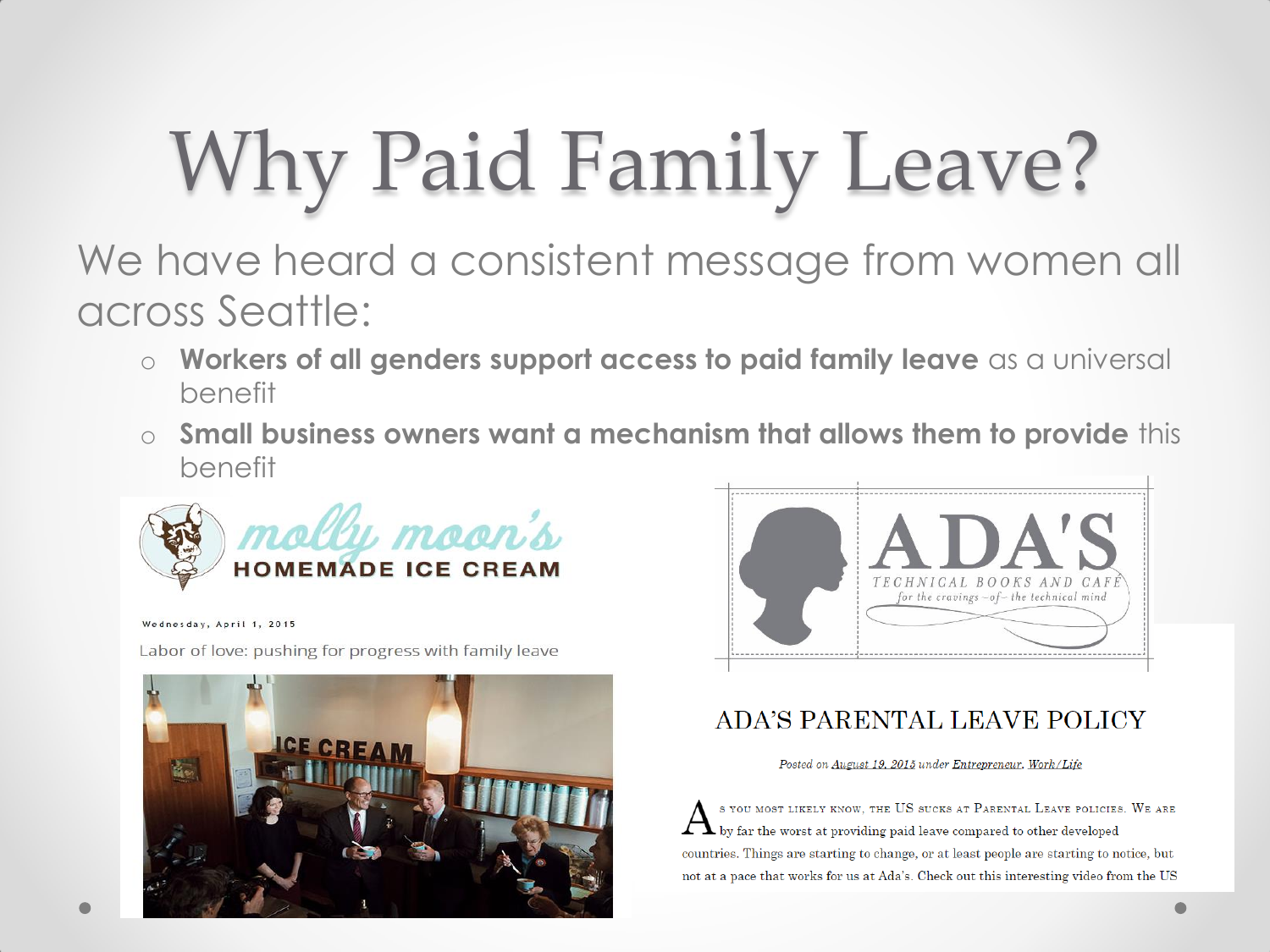### Why Paid Family Leave?

We have heard a consistent message from women all across Seattle:

- o **Workers of all genders support access to paid family leave** as a universal benefit
- o **Small business owners want a mechanism that allows them to provide** this benefit



Wednesday, April 1, 2015

Labor of love: pushing for progress with family leave





#### ADA'S PARENTAL LEAVE POLICY

Posted on August 19, 2015 under Entrepreneur, Work/Life

S YOU MOST LIKELY KNOW, THE US SUCKS AT PARENTAL LEAVE POLICIES. WE ARE by far the worst at providing paid leave compared to other developed countries. Things are starting to change, or at least people are starting to notice, but not at a pace that works for us at Ada's. Check out this interesting video from the US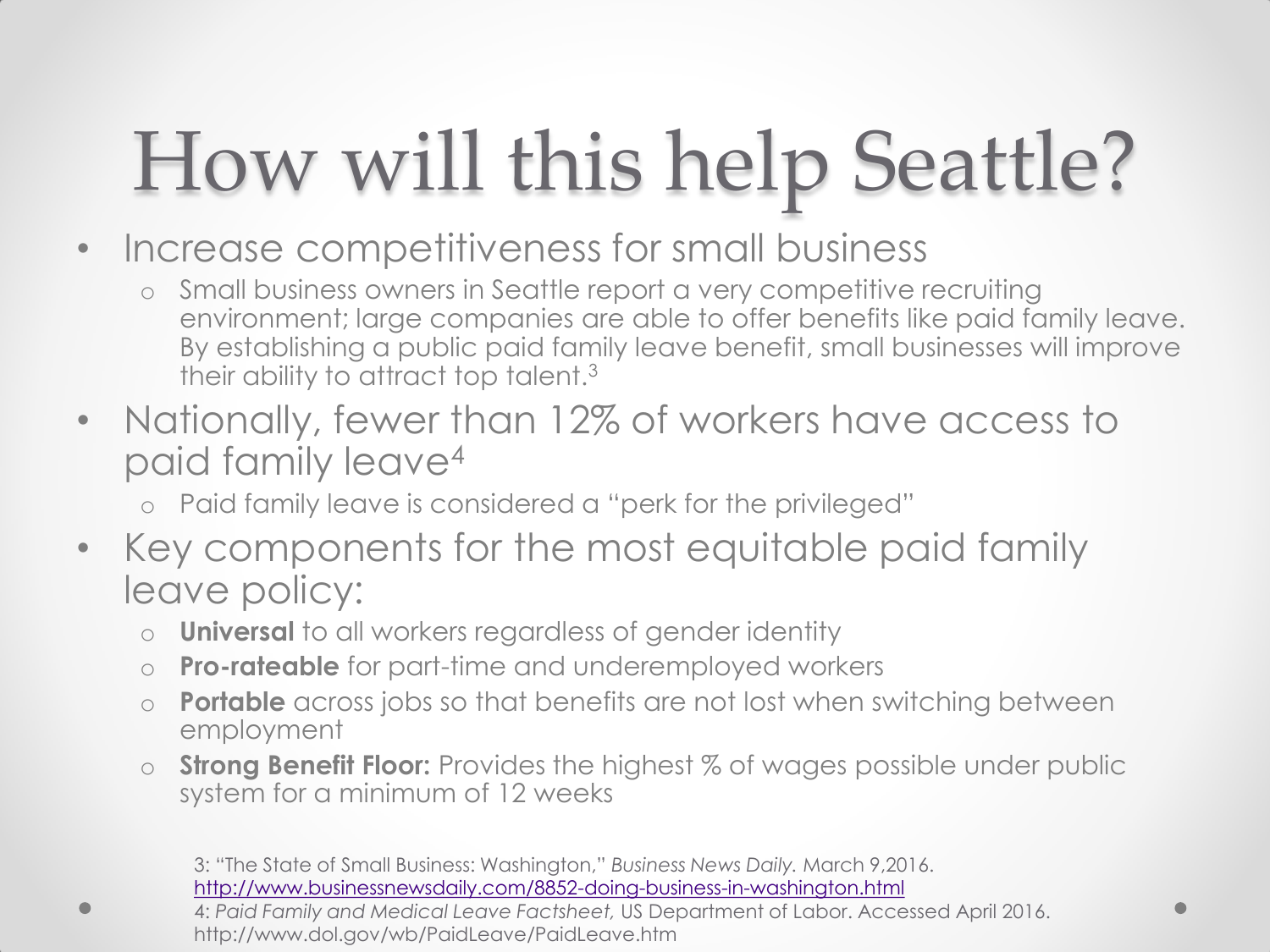### How will this help Seattle?

- Increase competitiveness for small business
	- Small business owners in Seattle report a very competitive recruiting environment; large companies are able to offer benefits like paid family leave. By establishing a public paid family leave benefit, small businesses will improve their ability to attract top talent.<sup>3</sup>
- Nationally, fewer than 12% of workers have access to paid family leave<sup>4</sup>
	- o Paid family leave is considered a "perk for the privileged"
- Key components for the most equitable paid family leave policy:
	- o **Universal** to all workers regardless of gender identity
	- o **Pro-rateable** for part-time and underemployed workers
	- o **Portable** across jobs so that benefits are not lost when switching between employment
	- **Strong Benefit Floor:** Provides the highest % of wages possible under public system for a minimum of 12 weeks

3: "The State of Small Business: Washington," *Business News Daily.* March 9,2016. <http://www.businessnewsdaily.com/8852-doing-business-in-washington.html>

<sup>4:</sup> *Paid Family and Medical Leave Factsheet,* US Department of Labor. Accessed April 2016. http://www.dol.gov/wb/PaidLeave/PaidLeave.htm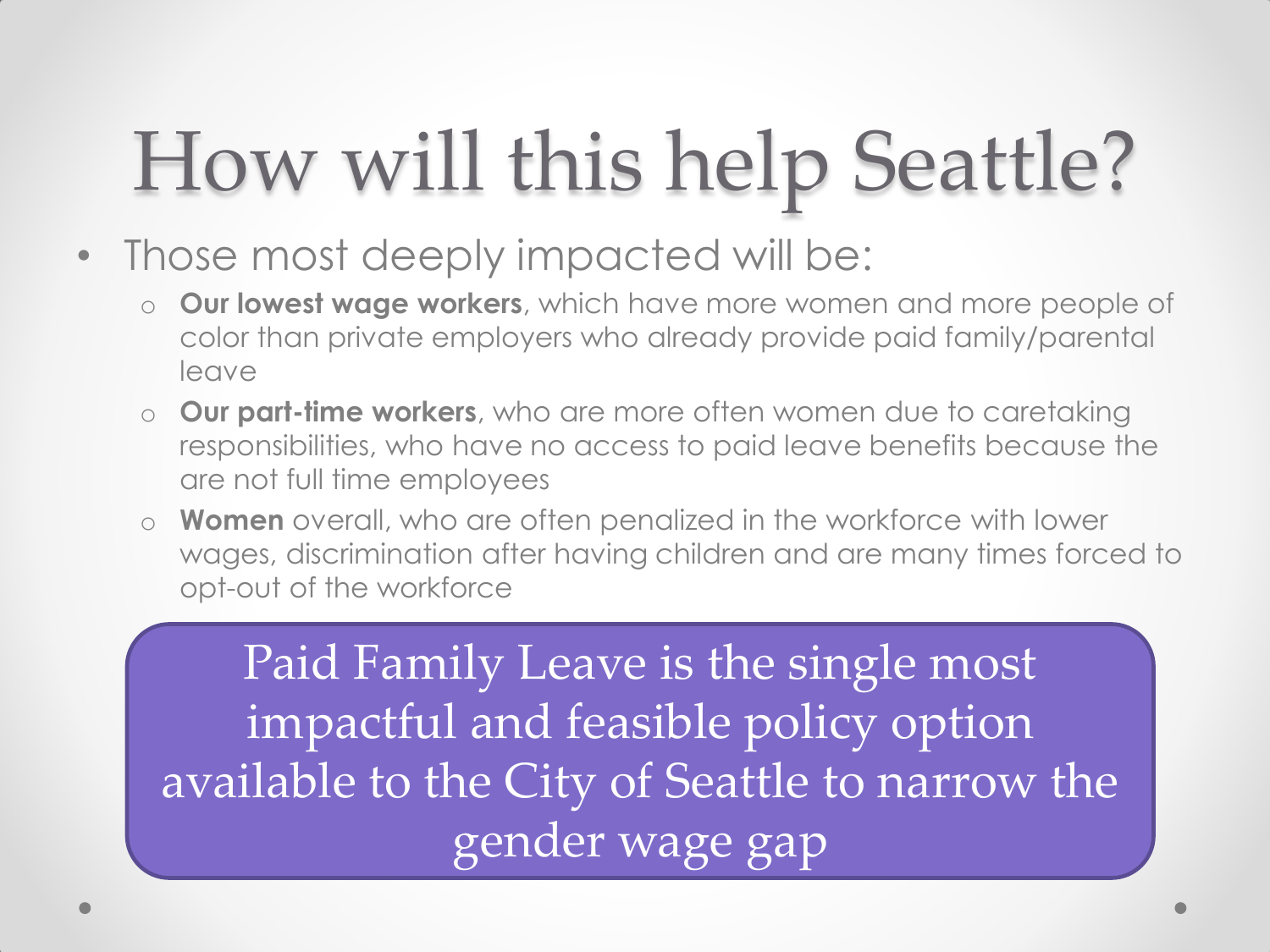#### How will this help Seattle?

- Those most deeply impacted will be:
	- o **Our lowest wage workers**, which have more women and more people of color than private employers who already provide paid family/parental leave
	- o **Our part-time workers**, who are more often women due to caretaking responsibilities, who have no access to paid leave benefits because the are not full time employees
	- o **Women** overall, who are often penalized in the workforce with lower wages, discrimination after having children and are many times forced to opt-out of the workforce

Paid Family Leave is the single most impactful and feasible policy option available to the City of Seattle to narrow the gender wage gap